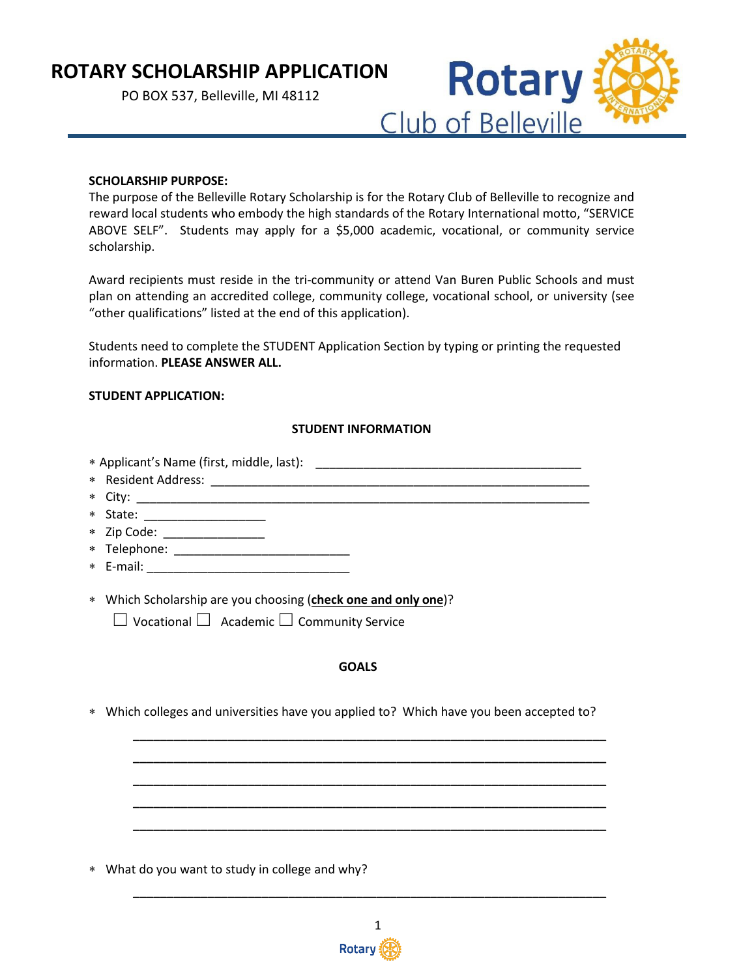# **ROTARY SCHOLARSHIP APPLICATION**

PO BOX 537, Belleville, MI 48112



### **SCHOLARSHIP PURPOSE:**

The purpose of the Belleville Rotary Scholarship is for the Rotary Club of Belleville to recognize and reward local students who embody the high standards of the Rotary International motto, "SERVICE ABOVE SELF". Students may apply for a \$5,000 academic, vocational, or community service scholarship.

Award recipients must reside in the tri-community or attend Van Buren Public Schools and must plan on attending an accredited college, community college, vocational school, or university (see "other qualifications" listed at the end of this application).

Students need to complete the STUDENT Application Section by typing or printing the requested information. **PLEASE ANSWER ALL.**

### **STUDENT APPLICATION:**

### **STUDENT INFORMATION**

∗ Applicant's Name (first, middle, last): \_\_\_\_\_\_\_\_\_\_\_\_\_\_\_\_\_\_\_\_\_\_\_\_\_\_\_\_\_\_\_\_\_\_\_\_\_\_\_

- ∗ Resident Address: \_\_\_\_\_\_\_\_\_\_\_\_\_\_\_\_\_\_\_\_\_\_\_\_\_\_\_\_\_\_\_\_\_\_\_\_\_\_\_\_\_\_\_\_\_\_\_\_\_\_\_\_\_\_\_\_
- ∗ City: \_\_\_\_\_\_\_\_\_\_\_\_\_\_\_\_\_\_\_\_\_\_\_\_\_\_\_\_\_\_\_\_\_\_\_\_\_\_\_\_\_\_\_\_\_\_\_\_\_\_\_\_\_\_\_\_\_\_\_\_\_\_\_\_\_\_\_
- ∗ State: \_\_\_\_\_\_\_\_\_\_\_\_\_\_\_\_\_\_
- ∗ Zip Code: \_\_\_\_\_\_\_\_\_\_\_\_\_\_\_
- ∗ Telephone: \_\_\_\_\_\_\_\_\_\_\_\_\_\_\_\_\_\_\_\_\_\_\_\_\_\_
- $*$  E-mail:  $\blacksquare$
- ∗ Which Scholarship are you choosing (**check one and only one**)?

☐ Vocational ☐ Academic ☐ Community Service

### **GOALS**

**\_\_\_\_\_\_\_\_\_\_\_\_\_\_\_\_\_\_\_\_\_\_\_\_\_\_\_\_\_\_\_\_\_\_\_\_\_\_\_\_\_\_\_\_\_\_\_\_\_\_\_\_\_\_\_\_\_\_\_\_\_\_\_\_\_\_\_\_\_\_ \_\_\_\_\_\_\_\_\_\_\_\_\_\_\_\_\_\_\_\_\_\_\_\_\_\_\_\_\_\_\_\_\_\_\_\_\_\_\_\_\_\_\_\_\_\_\_\_\_\_\_\_\_\_\_\_\_\_\_\_\_\_\_\_\_\_\_\_\_\_ \_\_\_\_\_\_\_\_\_\_\_\_\_\_\_\_\_\_\_\_\_\_\_\_\_\_\_\_\_\_\_\_\_\_\_\_\_\_\_\_\_\_\_\_\_\_\_\_\_\_\_\_\_\_\_\_\_\_\_\_\_\_\_\_\_\_\_\_\_\_ \_\_\_\_\_\_\_\_\_\_\_\_\_\_\_\_\_\_\_\_\_\_\_\_\_\_\_\_\_\_\_\_\_\_\_\_\_\_\_\_\_\_\_\_\_\_\_\_\_\_\_\_\_\_\_\_\_\_\_\_\_\_\_\_\_\_\_\_\_\_ \_\_\_\_\_\_\_\_\_\_\_\_\_\_\_\_\_\_\_\_\_\_\_\_\_\_\_\_\_\_\_\_\_\_\_\_\_\_\_\_\_\_\_\_\_\_\_\_\_\_\_\_\_\_\_\_\_\_\_\_\_\_\_\_\_\_\_\_\_\_**

∗ Which colleges and universities have you applied to? Which have you been accepted to?

∗ What do you want to study in college and why?



**\_\_\_\_\_\_\_\_\_\_\_\_\_\_\_\_\_\_\_\_\_\_\_\_\_\_\_\_\_\_\_\_\_\_\_\_\_\_\_\_\_\_\_\_\_\_\_\_\_\_\_\_\_\_\_\_\_\_\_\_\_\_\_\_\_\_\_\_\_\_**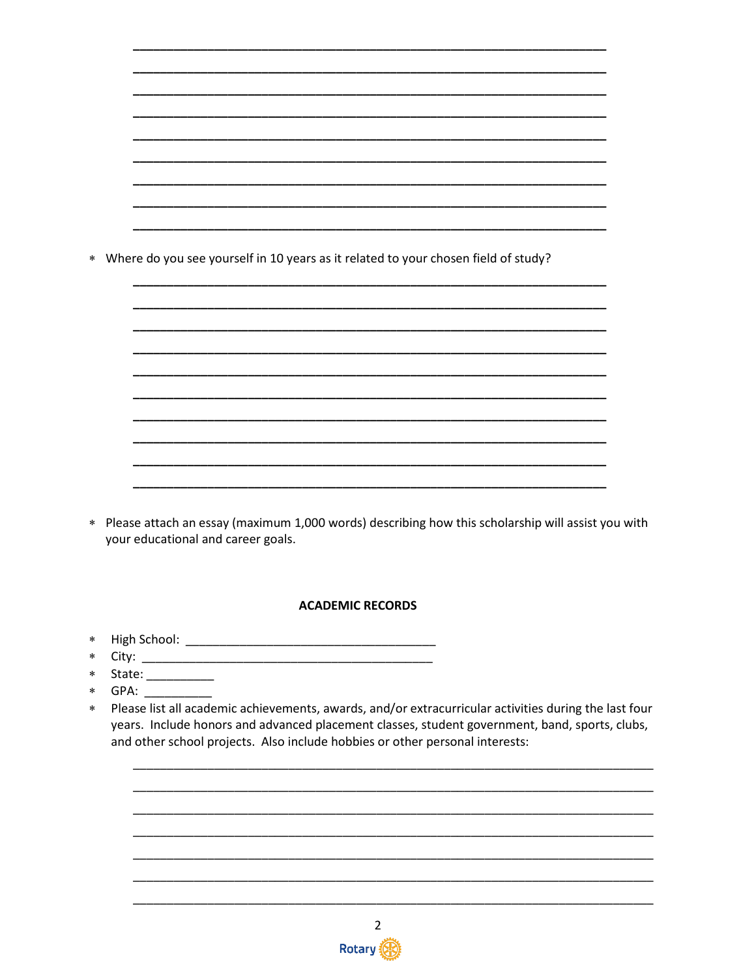\* Where do you see yourself in 10 years as it related to your chosen field of study?

\* Please attach an essay (maximum 1,000 words) describing how this scholarship will assist you with your educational and career goals.

## **ACADEMIC RECORDS**

- 
- 
- \* State: \_\_\_\_\_\_\_\_\_\_\_
- \* GPA:
- Please list all academic achievements, awards, and/or extracurricular activities during the last four  $\star$ years. Include honors and advanced placement classes, student government, band, sports, clubs, and other school projects. Also include hobbies or other personal interests:

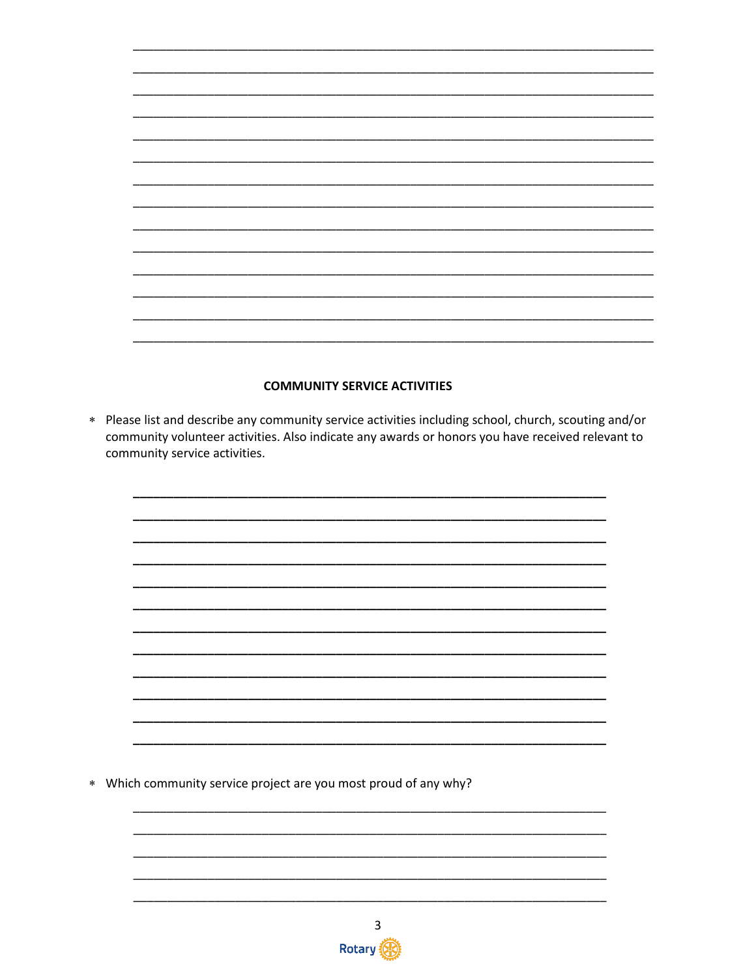### **COMMUNITY SERVICE ACTIVITIES**

\* Please list and describe any community service activities including school, church, scouting and/or community volunteer activities. Also indicate any awards or honors you have received relevant to community service activities.



\* Which community service project are you most proud of any why?

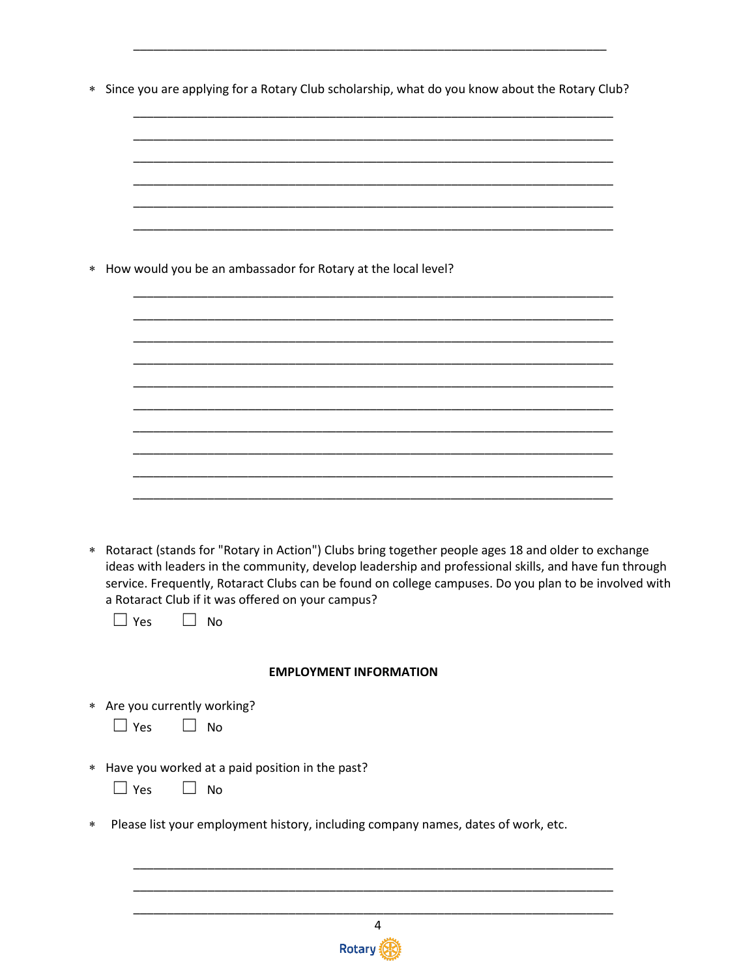\* Since you are applying for a Rotary Club scholarship, what do you know about the Rotary Club?

| $\ast$ | How would you be an ambassador for Rotary at the local level?                                                                                                                                                                                                                                                                                                                                        |
|--------|------------------------------------------------------------------------------------------------------------------------------------------------------------------------------------------------------------------------------------------------------------------------------------------------------------------------------------------------------------------------------------------------------|
|        |                                                                                                                                                                                                                                                                                                                                                                                                      |
|        |                                                                                                                                                                                                                                                                                                                                                                                                      |
|        |                                                                                                                                                                                                                                                                                                                                                                                                      |
|        |                                                                                                                                                                                                                                                                                                                                                                                                      |
|        |                                                                                                                                                                                                                                                                                                                                                                                                      |
| $*$    | Rotaract (stands for "Rotary in Action") Clubs bring together people ages 18 and older to exchange<br>ideas with leaders in the community, develop leadership and professional skills, and have fun through<br>service. Frequently, Rotaract Clubs can be found on college campuses. Do you plan to be involved with<br>a Rotaract Club if it was offered on your campus?<br>$\Box$ Yes<br><b>No</b> |
|        | <b>EMPLOYMENT INFORMATION</b>                                                                                                                                                                                                                                                                                                                                                                        |
|        | * Are you currently working?<br>$\Box$ Yes<br><b>No</b>                                                                                                                                                                                                                                                                                                                                              |
|        | * Have you worked at a paid position in the past?<br>$\Box$ Yes<br><b>No</b>                                                                                                                                                                                                                                                                                                                         |
| $\ast$ | Please list your employment history, including company names, dates of work, etc.                                                                                                                                                                                                                                                                                                                    |
|        |                                                                                                                                                                                                                                                                                                                                                                                                      |
|        |                                                                                                                                                                                                                                                                                                                                                                                                      |

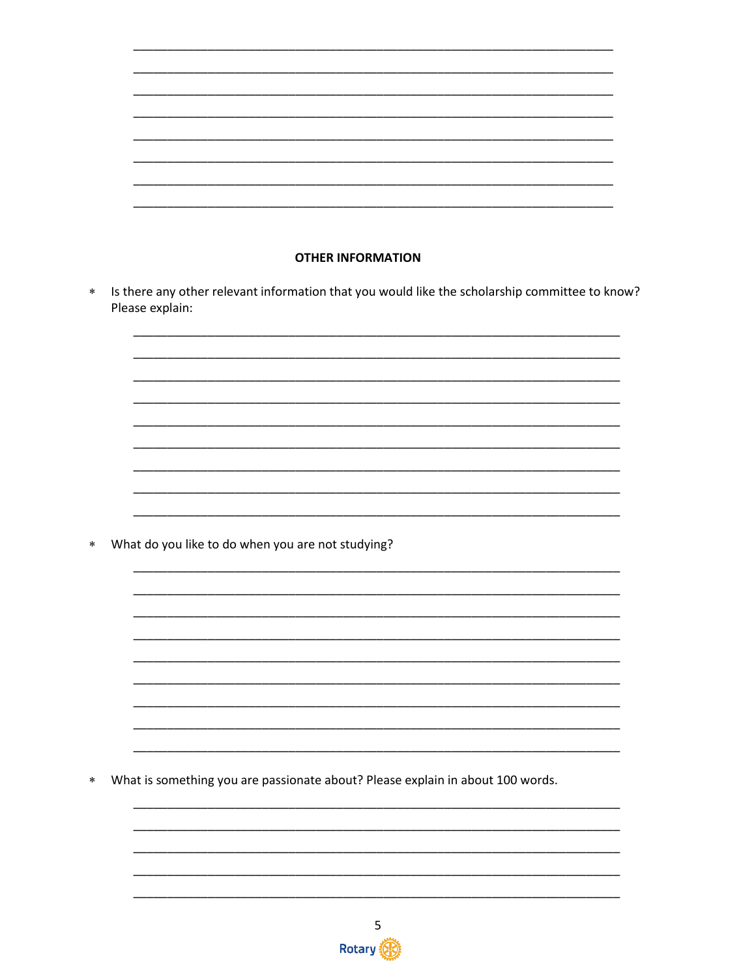| <b>OTHER INFORMATION</b>                                                                                          |                                                   |
|-------------------------------------------------------------------------------------------------------------------|---------------------------------------------------|
| Is there any other relevant information that you would like the scholarship committee to know?<br>Please explain: |                                                   |
|                                                                                                                   |                                                   |
|                                                                                                                   |                                                   |
|                                                                                                                   |                                                   |
|                                                                                                                   |                                                   |
|                                                                                                                   |                                                   |
|                                                                                                                   |                                                   |
|                                                                                                                   |                                                   |
|                                                                                                                   |                                                   |
|                                                                                                                   |                                                   |
|                                                                                                                   |                                                   |
|                                                                                                                   |                                                   |
|                                                                                                                   |                                                   |
|                                                                                                                   |                                                   |
|                                                                                                                   |                                                   |
|                                                                                                                   | What do you like to do when you are not studying? |

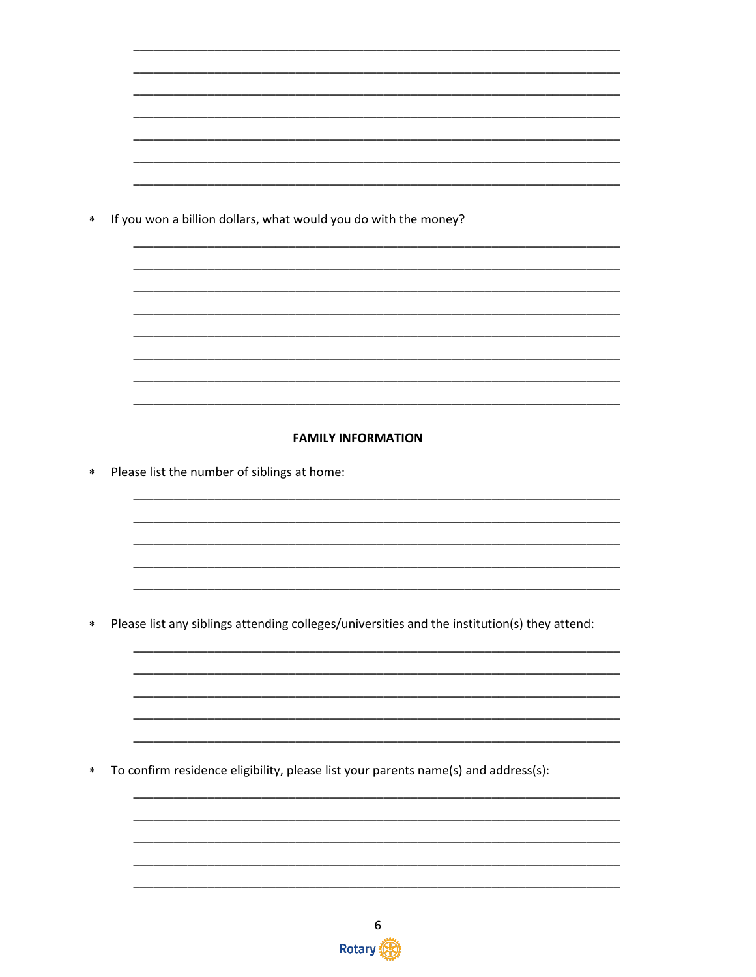If you won a billion dollars, what would you do with the money?  $\ast$ 

#### **FAMILY INFORMATION**

Please list the number of siblings at home:  $\ast$ 

Please list any siblings attending colleges/universities and the institution(s) they attend:  $\ast$ 

To confirm residence eligibility, please list your parents name(s) and address(s):  $\ast$